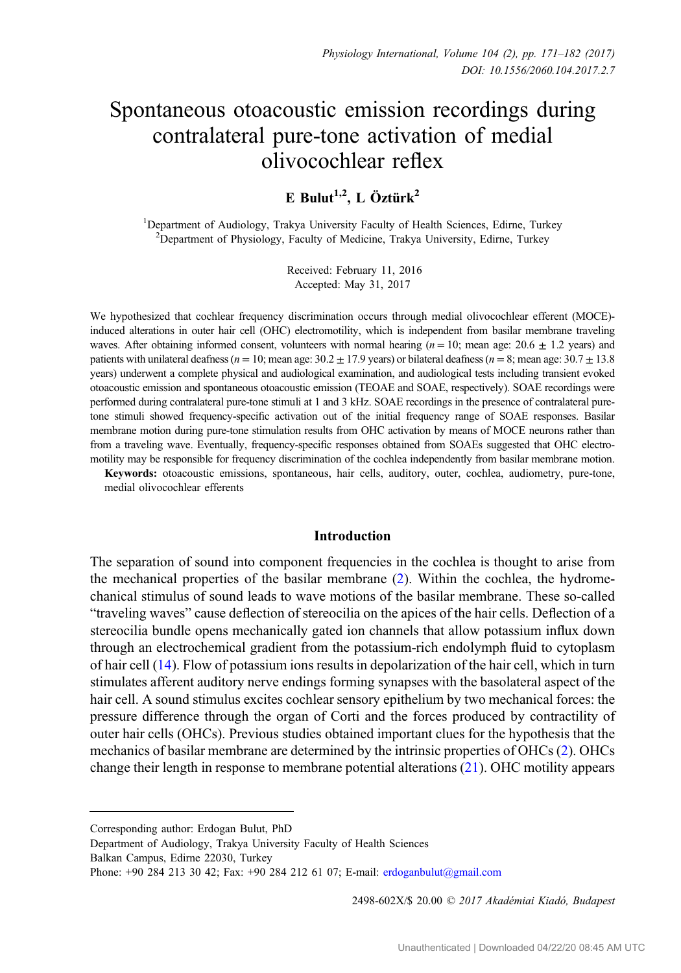# Spontaneous otoacoustic emission recordings during contralateral pure-tone activation of medial olivocochlear reflex

# E Bulut<sup>1,2</sup>, L Öztürk<sup>2</sup>

<sup>1</sup>Department of Audiology, Trakya University Faculty of Health Sciences, Edirne, Turkey <sup>2</sup>Department of Physiology, Faculty of Medicine, Trakya University, Edirne, Turkey

> Received: February 11, 2016 Accepted: May 31, 2017

We hypothesized that cochlear frequency discrimination occurs through medial olivocochlear efferent (MOCE) induced alterations in outer hair cell (OHC) electromotility, which is independent from basilar membrane traveling waves. After obtaining informed consent, volunteers with normal hearing ( $n = 10$ ; mean age:  $20.6 \pm 1.2$  years) and patients with unilateral deafness ( $n = 10$ ; mean age:  $30.2 \pm 17.9$  years) or bilateral deafness ( $n = 8$ ; mean age:  $30.7 \pm 13.8$ years) underwent a complete physical and audiological examination, and audiological tests including transient evoked otoacoustic emission and spontaneous otoacoustic emission (TEOAE and SOAE, respectively). SOAE recordings were performed during contralateral pure-tone stimuli at 1 and 3 kHz. SOAE recordings in the presence of contralateral puretone stimuli showed frequency-specific activation out of the initial frequency range of SOAE responses. Basilar membrane motion during pure-tone stimulation results from OHC activation by means of MOCE neurons rather than from a traveling wave. Eventually, frequency-specific responses obtained from SOAEs suggested that OHC electromotility may be responsible for frequency discrimination of the cochlea independently from basilar membrane motion.

Keywords: otoacoustic emissions, spontaneous, hair cells, auditory, outer, cochlea, audiometry, pure-tone, medial olivocochlear efferents

#### Introduction

The separation of sound into component frequencies in the cochlea is thought to arise from the mechanical properties of the basilar membrane ([2\)](#page-9-0). Within the cochlea, the hydromechanical stimulus of sound leads to wave motions of the basilar membrane. These so-called "traveling waves" cause deflection of stereocilia on the apices of the hair cells. Deflection of a stereocilia bundle opens mechanically gated ion channels that allow potassium influx down through an electrochemical gradient from the potassium-rich endolymph fluid to cytoplasm of hair cell [\(14](#page-10-0)). Flow of potassium ions results in depolarization of the hair cell, which in turn stimulates afferent auditory nerve endings forming synapses with the basolateral aspect of the hair cell. A sound stimulus excites cochlear sensory epithelium by two mechanical forces: the pressure difference through the organ of Corti and the forces produced by contractility of outer hair cells (OHCs). Previous studies obtained important clues for the hypothesis that the mechanics of basilar membrane are determined by the intrinsic properties of OHCs [\(2](#page-9-0)). OHCs change their length in response to membrane potential alterations ([21\)](#page-10-0). OHC motility appears

2498-602X/\$ 20.00 © 2017 Akadémiai Kiadó, Budapest

Corresponding author: Erdogan Bulut, PhD

Department of Audiology, Trakya University Faculty of Health Sciences

Balkan Campus, Edirne 22030, Turkey

Phone: +90 284 213 30 42; Fax: +90 284 212 61 07; E-mail: [erdoganbulut@gmail.com](mailto:erdoganbulut@gmail.com)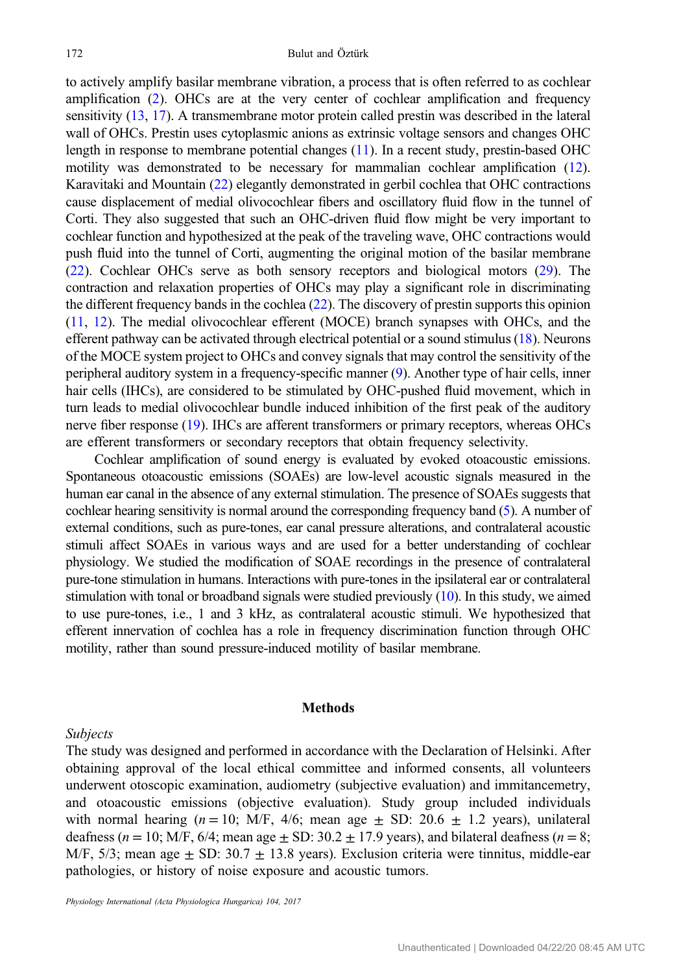to actively amplify basilar membrane vibration, a process that is often referred to as cochlear amplification ([2\)](#page-9-0). OHCs are at the very center of cochlear amplification and frequency sensitivity [\(13](#page-10-0), [17](#page-10-0)). A transmembrane motor protein called prestin was described in the lateral wall of OHCs. Prestin uses cytoplasmic anions as extrinsic voltage sensors and changes OHC length in response to membrane potential changes ([11](#page-10-0)). In a recent study, prestin-based OHC motility was demonstrated to be necessary for mammalian cochlear amplification ([12](#page-10-0)). Karavitaki and Mountain ([22](#page-10-0)) elegantly demonstrated in gerbil cochlea that OHC contractions cause displacement of medial olivocochlear fibers and oscillatory fluid flow in the tunnel of Corti. They also suggested that such an OHC-driven fluid flow might be very important to cochlear function and hypothesized at the peak of the traveling wave, OHC contractions would push fluid into the tunnel of Corti, augmenting the original motion of the basilar membrane [\(22\)](#page-10-0). Cochlear OHCs serve as both sensory receptors and biological motors [\(29\)](#page-10-0). The contraction and relaxation properties of OHCs may play a significant role in discriminating the different frequency bands in the cochlea [\(22\)](#page-10-0). The discovery of prestin supports this opinion [\(11,](#page-10-0) [12](#page-10-0)). The medial olivocochlear efferent (MOCE) branch synapses with OHCs, and the efferent pathway can be activated through electrical potential or a sound stimulus [\(18](#page-10-0)). Neurons of the MOCE system project to OHCs and convey signals that may control the sensitivity of the peripheral auditory system in a frequency-specific manner ([9\)](#page-10-0). Another type of hair cells, inner hair cells (IHCs), are considered to be stimulated by OHC-pushed fluid movement, which in turn leads to medial olivocochlear bundle induced inhibition of the first peak of the auditory nerve fiber response [\(19](#page-10-0)). IHCs are afferent transformers or primary receptors, whereas OHCs are efferent transformers or secondary receptors that obtain frequency selectivity.

Cochlear amplification of sound energy is evaluated by evoked otoacoustic emissions. Spontaneous otoacoustic emissions (SOAEs) are low-level acoustic signals measured in the human ear canal in the absence of any external stimulation. The presence of SOAEs suggests that cochlear hearing sensitivity is normal around the corresponding frequency band [\(5\)](#page-10-0). A number of external conditions, such as pure-tones, ear canal pressure alterations, and contralateral acoustic stimuli affect SOAEs in various ways and are used for a better understanding of cochlear physiology. We studied the modification of SOAE recordings in the presence of contralateral pure-tone stimulation in humans. Interactions with pure-tones in the ipsilateral ear or contralateral stimulation with tonal or broadband signals were studied previously ([10](#page-10-0)). In this study, we aimed to use pure-tones, i.e., 1 and 3 kHz, as contralateral acoustic stimuli. We hypothesized that efferent innervation of cochlea has a role in frequency discrimination function through OHC motility, rather than sound pressure-induced motility of basilar membrane.

#### Methods

#### Subjects

The study was designed and performed in accordance with the Declaration of Helsinki. After obtaining approval of the local ethical committee and informed consents, all volunteers underwent otoscopic examination, audiometry (subjective evaluation) and immitancemetry, and otoacoustic emissions (objective evaluation). Study group included individuals with normal hearing ( $n = 10$ ; M/F, 4/6; mean age  $\pm$  SD: 20.6  $\pm$  1.2 years), unilateral deafness ( $n = 10$ ; M/F, 6/4; mean age  $\pm$  SD: 30.2  $\pm$  17.9 years), and bilateral deafness ( $n = 8$ ; M/F, 5/3; mean age  $\pm$  SD: 30.7  $\pm$  13.8 years). Exclusion criteria were tinnitus, middle-ear pathologies, or history of noise exposure and acoustic tumors.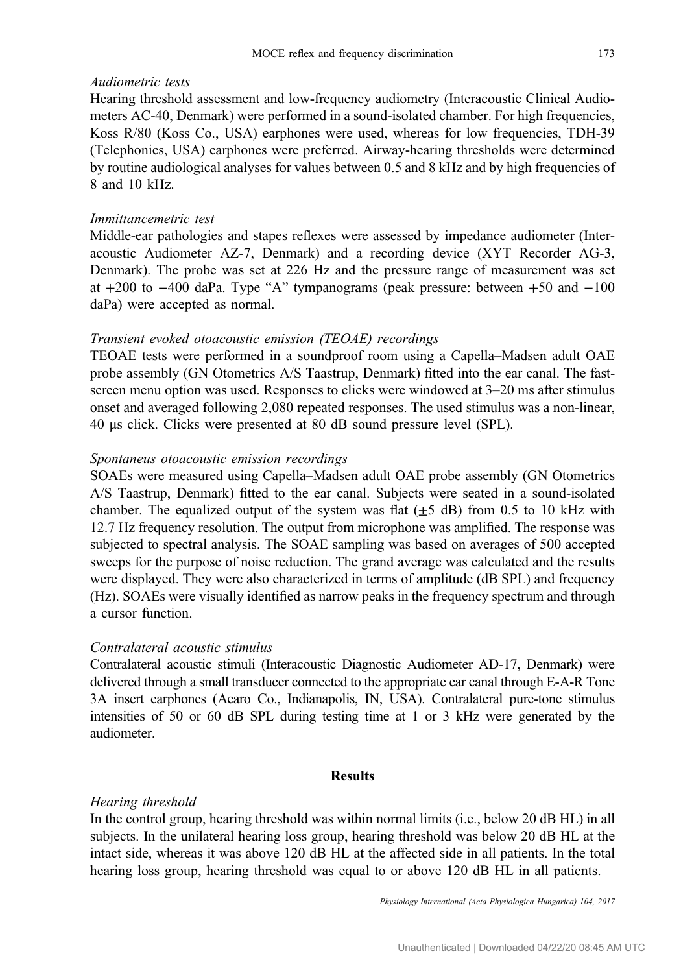#### Audiometric tests

Hearing threshold assessment and low-frequency audiometry (Interacoustic Clinical Audiometers AC-40, Denmark) were performed in a sound-isolated chamber. For high frequencies, Koss R/80 (Koss Co., USA) earphones were used, whereas for low frequencies, TDH-39 (Telephonics, USA) earphones were preferred. Airway-hearing thresholds were determined by routine audiological analyses for values between 0.5 and 8 kHz and by high frequencies of 8 and 10 kHz.

#### Immittancemetric test

Middle-ear pathologies and stapes reflexes were assessed by impedance audiometer (Interacoustic Audiometer AZ-7, Denmark) and a recording device (XYT Recorder AG-3, Denmark). The probe was set at 226 Hz and the pressure range of measurement was set at +200 to −400 daPa. Type "A" tympanograms (peak pressure: between +50 and −100 daPa) were accepted as normal.

# Transient evoked otoacoustic emission (TEOAE) recordings

TEOAE tests were performed in a soundproof room using a Capella–Madsen adult OAE probe assembly (GN Otometrics A/S Taastrup, Denmark) fitted into the ear canal. The fastscreen menu option was used. Responses to clicks were windowed at 3–20 ms after stimulus onset and averaged following 2,080 repeated responses. The used stimulus was a non-linear, 40 μs click. Clicks were presented at 80 dB sound pressure level (SPL).

## Spontaneus otoacoustic emission recordings

SOAEs were measured using Capella–Madsen adult OAE probe assembly (GN Otometrics A/S Taastrup, Denmark) fitted to the ear canal. Subjects were seated in a sound-isolated chamber. The equalized output of the system was flat  $(\pm 5$  dB) from 0.5 to 10 kHz with 12.7 Hz frequency resolution. The output from microphone was amplified. The response was subjected to spectral analysis. The SOAE sampling was based on averages of 500 accepted sweeps for the purpose of noise reduction. The grand average was calculated and the results were displayed. They were also characterized in terms of amplitude (dB SPL) and frequency (Hz). SOAEs were visually identified as narrow peaks in the frequency spectrum and through a cursor function.

# Contralateral acoustic stimulus

Contralateral acoustic stimuli (Interacoustic Diagnostic Audiometer AD-17, Denmark) were delivered through a small transducer connected to the appropriate ear canal through E-A-R Tone 3A insert earphones (Aearo Co., Indianapolis, IN, USA). Contralateral pure-tone stimulus intensities of 50 or 60 dB SPL during testing time at 1 or 3 kHz were generated by the audiometer.

#### Results

# Hearing threshold

In the control group, hearing threshold was within normal limits (i.e., below 20 dB HL) in all subjects. In the unilateral hearing loss group, hearing threshold was below 20 dB HL at the intact side, whereas it was above 120 dB HL at the affected side in all patients. In the total hearing loss group, hearing threshold was equal to or above 120 dB HL in all patients.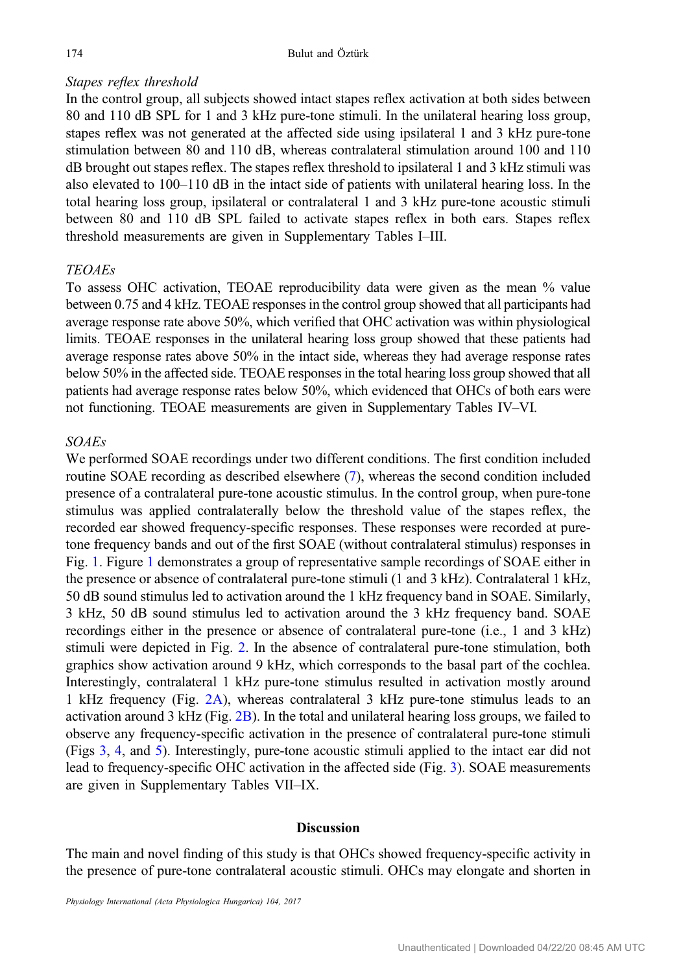# Stapes reflex threshold

In the control group, all subjects showed intact stapes reflex activation at both sides between 80 and 110 dB SPL for 1 and 3 kHz pure-tone stimuli. In the unilateral hearing loss group, stapes reflex was not generated at the affected side using ipsilateral 1 and 3 kHz pure-tone stimulation between 80 and 110 dB, whereas contralateral stimulation around 100 and 110 dB brought out stapes reflex. The stapes reflex threshold to ipsilateral 1 and 3 kHz stimuli was also elevated to 100–110 dB in the intact side of patients with unilateral hearing loss. In the total hearing loss group, ipsilateral or contralateral 1 and 3 kHz pure-tone acoustic stimuli between 80 and 110 dB SPL failed to activate stapes reflex in both ears. Stapes reflex threshold measurements are given in Supplementary Tables I–III.

# TEOAEs

To assess OHC activation, TEOAE reproducibility data were given as the mean % value between 0.75 and 4 kHz. TEOAE responses in the control group showed that all participants had average response rate above 50%, which verified that OHC activation was within physiological limits. TEOAE responses in the unilateral hearing loss group showed that these patients had average response rates above 50% in the intact side, whereas they had average response rates below 50% in the affected side. TEOAE responses in the total hearing loss group showed that all patients had average response rates below 50%, which evidenced that OHCs of both ears were not functioning. TEOAE measurements are given in Supplementary Tables IV–VI.

# SOAEs

We performed SOAE recordings under two different conditions. The first condition included routine SOAE recording as described elsewhere [\(7](#page-10-0)), whereas the second condition included presence of a contralateral pure-tone acoustic stimulus. In the control group, when pure-tone stimulus was applied contralaterally below the threshold value of the stapes reflex, the recorded ear showed frequency-specific responses. These responses were recorded at puretone frequency bands and out of the first SOAE (without contralateral stimulus) responses in Fig. [1](#page-4-0). Figure [1](#page-4-0) demonstrates a group of representative sample recordings of SOAE either in the presence or absence of contralateral pure-tone stimuli (1 and 3 kHz). Contralateral 1 kHz, 50 dB sound stimulus led to activation around the 1 kHz frequency band in SOAE. Similarly, 3 kHz, 50 dB sound stimulus led to activation around the 3 kHz frequency band. SOAE recordings either in the presence or absence of contralateral pure-tone (i.e., 1 and 3 kHz) stimuli were depicted in Fig. [2.](#page-5-0) In the absence of contralateral pure-tone stimulation, both graphics show activation around 9 kHz, which corresponds to the basal part of the cochlea. Interestingly, contralateral 1 kHz pure-tone stimulus resulted in activation mostly around 1 kHz frequency (Fig. [2A\)](#page-5-0), whereas contralateral 3 kHz pure-tone stimulus leads to an activation around 3 kHz (Fig.  $2B$ ). In the total and unilateral hearing loss groups, we failed to observe any frequency-specific activation in the presence of contralateral pure-tone stimuli (Figs [3,](#page-6-0) [4](#page-7-0), and [5](#page-8-0)). Interestingly, pure-tone acoustic stimuli applied to the intact ear did not lead to frequency-specific OHC activation in the affected side (Fig. [3\)](#page-6-0). SOAE measurements are given in Supplementary Tables VII–IX.

#### **Discussion**

The main and novel finding of this study is that OHCs showed frequency-specific activity in the presence of pure-tone contralateral acoustic stimuli. OHCs may elongate and shorten in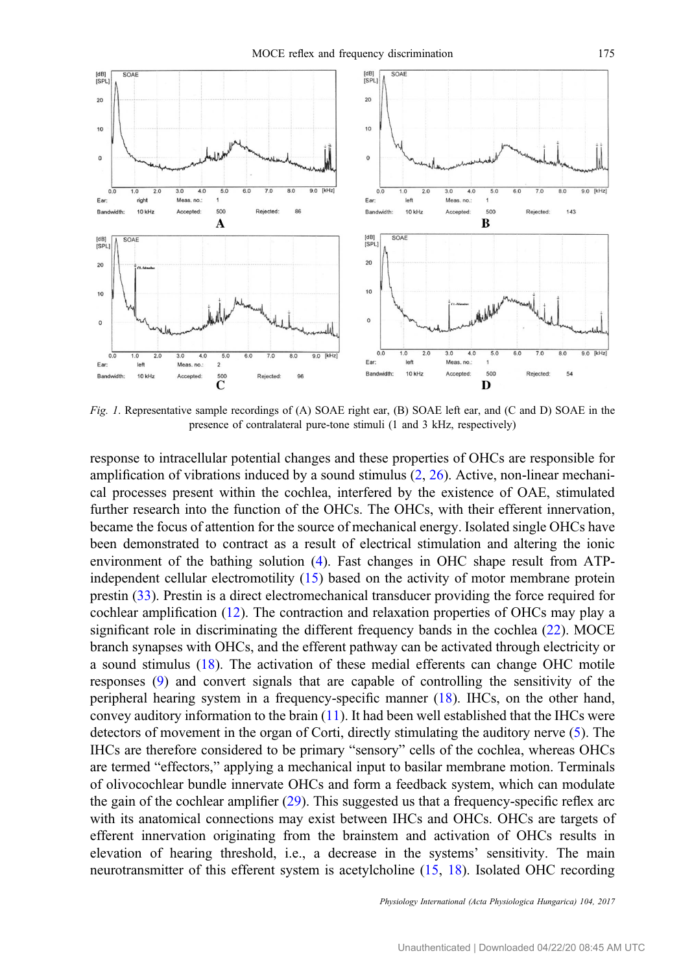<span id="page-4-0"></span>

Fig. 1. Representative sample recordings of (A) SOAE right ear, (B) SOAE left ear, and (C and D) SOAE in the presence of contralateral pure-tone stimuli (1 and 3 kHz, respectively)

response to intracellular potential changes and these properties of OHCs are responsible for amplification of vibrations induced by a sound stimulus [\(2](#page-9-0), [26](#page-10-0)). Active, non-linear mechanical processes present within the cochlea, interfered by the existence of OAE, stimulated further research into the function of the OHCs. The OHCs, with their efferent innervation, became the focus of attention for the source of mechanical energy. Isolated single OHCs have been demonstrated to contract as a result of electrical stimulation and altering the ionic environment of the bathing solution ([4\)](#page-10-0). Fast changes in OHC shape result from ATPindependent cellular electromotility ([15\)](#page-10-0) based on the activity of motor membrane protein prestin ([33\)](#page-11-0). Prestin is a direct electromechanical transducer providing the force required for cochlear amplification [\(12](#page-10-0)). The contraction and relaxation properties of OHCs may play a significant role in discriminating the different frequency bands in the cochlea [\(22](#page-10-0)). MOCE branch synapses with OHCs, and the efferent pathway can be activated through electricity or a sound stimulus [\(18](#page-10-0)). The activation of these medial efferents can change OHC motile responses ([9\)](#page-10-0) and convert signals that are capable of controlling the sensitivity of the peripheral hearing system in a frequency-specific manner [\(18](#page-10-0)). IHCs, on the other hand, convey auditory information to the brain ([11\)](#page-10-0). It had been well established that the IHCs were detectors of movement in the organ of Corti, directly stimulating the auditory nerve [\(5](#page-10-0)). The IHCs are therefore considered to be primary "sensory" cells of the cochlea, whereas OHCs are termed "effectors," applying a mechanical input to basilar membrane motion. Terminals of olivocochlear bundle innervate OHCs and form a feedback system, which can modulate the gain of the cochlear amplifier ([29\)](#page-10-0). This suggested us that a frequency-specific reflex arc with its anatomical connections may exist between IHCs and OHCs. OHCs are targets of efferent innervation originating from the brainstem and activation of OHCs results in elevation of hearing threshold, i.e., a decrease in the systems' sensitivity. The main neurotransmitter of this efferent system is acetylcholine ([15,](#page-10-0) [18](#page-10-0)). Isolated OHC recording

Physiology International (Acta Physiologica Hungarica) 104, 2017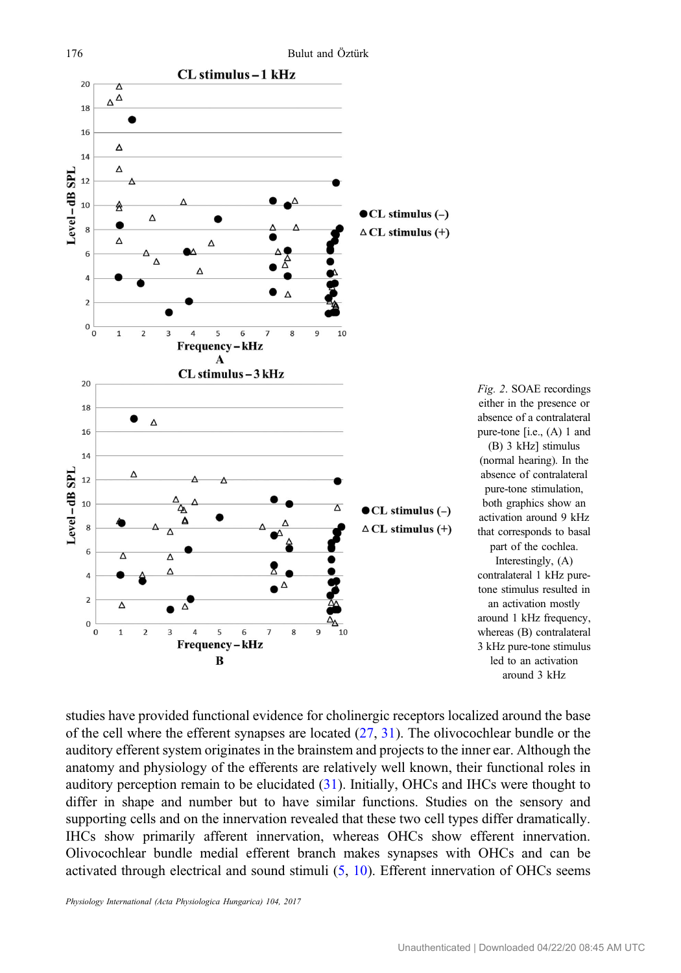<span id="page-5-0"></span>

Fig. 2. SOAE recordings either in the presence or absence of a contralateral pure-tone [i.e., (A) 1 and (B) 3 kHz] stimulus (normal hearing). In the absence of contralateral pure-tone stimulation, both graphics show an activation around 9 kHz that corresponds to basal part of the cochlea. Interestingly, (A) contralateral 1 kHz puretone stimulus resulted in an activation mostly around 1 kHz frequency, whereas (B) contralateral 3 kHz pure-tone stimulus led to an activation around 3 kHz

studies have provided functional evidence for cholinergic receptors localized around the base of the cell where the efferent synapses are located [\(27](#page-10-0), [31\)](#page-11-0). The olivocochlear bundle or the auditory efferent system originates in the brainstem and projects to the inner ear. Although the anatomy and physiology of the efferents are relatively well known, their functional roles in auditory perception remain to be elucidated [\(31](#page-11-0)). Initially, OHCs and IHCs were thought to differ in shape and number but to have similar functions. Studies on the sensory and supporting cells and on the innervation revealed that these two cell types differ dramatically. IHCs show primarily afferent innervation, whereas OHCs show efferent innervation. Olivocochlear bundle medial efferent branch makes synapses with OHCs and can be activated through electrical and sound stimuli  $(5, 10)$  $(5, 10)$  $(5, 10)$ . Efferent innervation of OHCs seems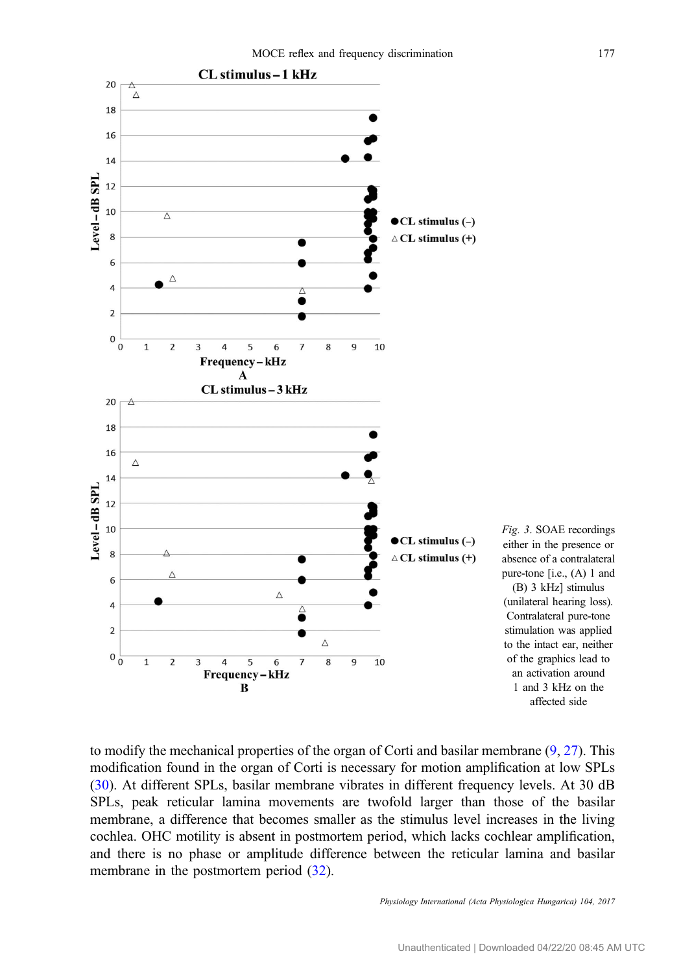<span id="page-6-0"></span>

to modify the mechanical properties of the organ of Corti and basilar membrane  $(9, 27)$  $(9, 27)$  $(9, 27)$  $(9, 27)$ . This modification found in the organ of Corti is necessary for motion amplification at low SPLs [\(30](#page-10-0)). At different SPLs, basilar membrane vibrates in different frequency levels. At 30 dB SPLs, peak reticular lamina movements are twofold larger than those of the basilar membrane, a difference that becomes smaller as the stimulus level increases in the living cochlea. OHC motility is absent in postmortem period, which lacks cochlear amplification, and there is no phase or amplitude difference between the reticular lamina and basilar membrane in the postmortem period  $(32)$  $(32)$ .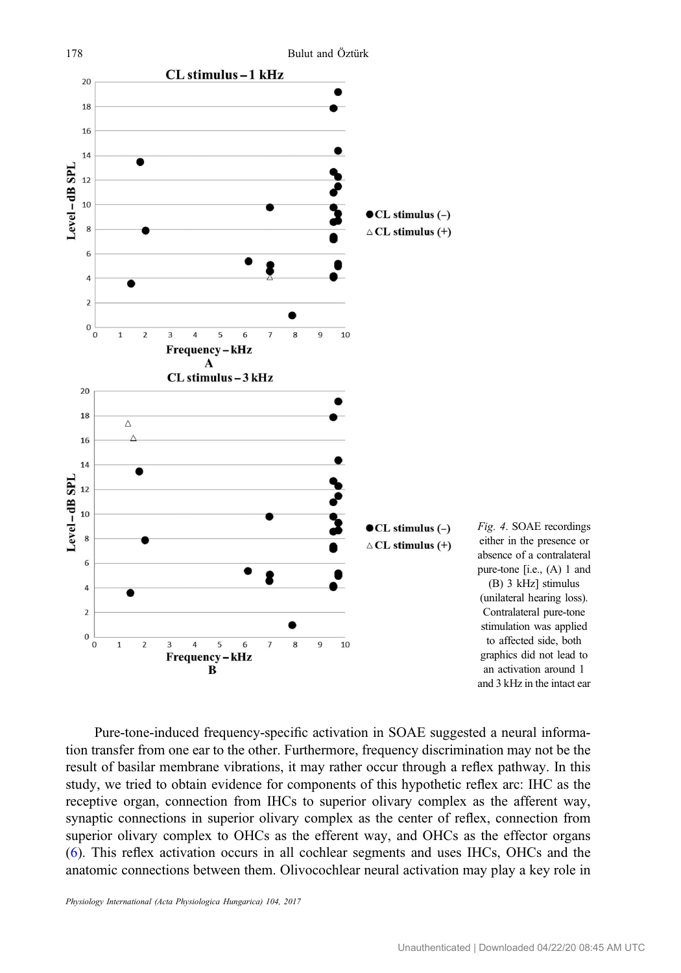<span id="page-7-0"></span>

Fig. 4. SOAE recordings either in the presence or absence of a contralateral pure-tone [i.e., (A) 1 and (B) 3 kHz] stimulus (unilateral hearing loss). Contralateral pure-tone stimulation was applied to affected side, both graphics did not lead to an activation around 1 and 3 kHz in the intact ear

Pure-tone-induced frequency-specific activation in SOAE suggested a neural information transfer from one ear to the other. Furthermore, frequency discrimination may not be the result of basilar membrane vibrations, it may rather occur through a reflex pathway. In this study, we tried to obtain evidence for components of this hypothetic reflex arc: IHC as the receptive organ, connection from IHCs to superior olivary complex as the afferent way, synaptic connections in superior olivary complex as the center of reflex, connection from superior olivary complex to OHCs as the efferent way, and OHCs as the effector organs [\(6](#page-10-0)). This reflex activation occurs in all cochlear segments and uses IHCs, OHCs and the anatomic connections between them. Olivocochlear neural activation may play a key role in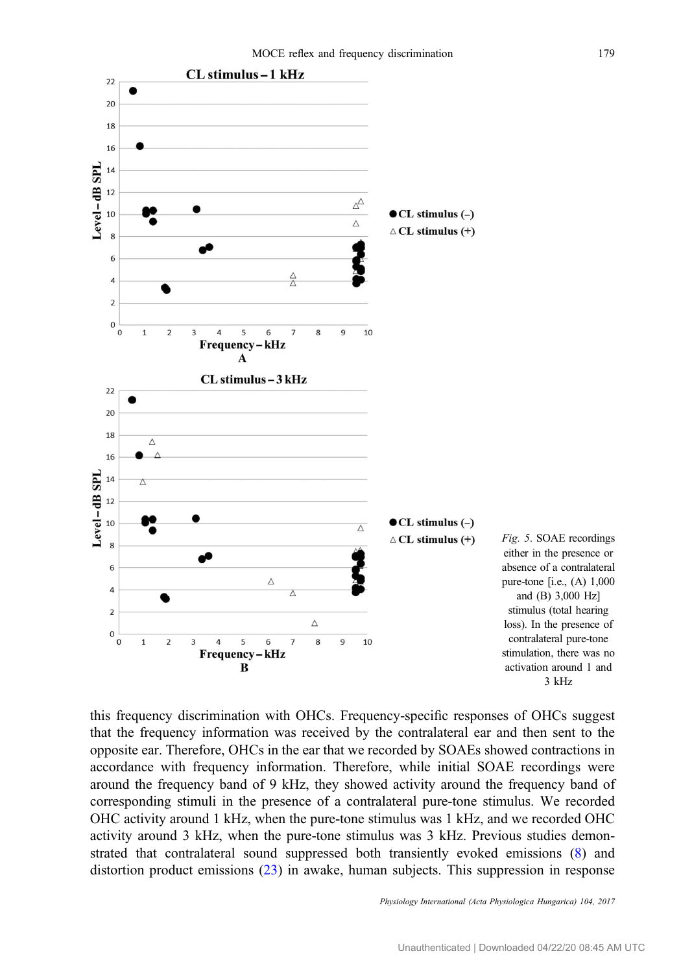<span id="page-8-0"></span>

this frequency discrimination with OHCs. Frequency-specific responses of OHCs suggest that the frequency information was received by the contralateral ear and then sent to the opposite ear. Therefore, OHCs in the ear that we recorded by SOAEs showed contractions in accordance with frequency information. Therefore, while initial SOAE recordings were around the frequency band of 9 kHz, they showed activity around the frequency band of corresponding stimuli in the presence of a contralateral pure-tone stimulus. We recorded OHC activity around 1 kHz, when the pure-tone stimulus was 1 kHz, and we recorded OHC activity around 3 kHz, when the pure-tone stimulus was 3 kHz. Previous studies demonstrated that contralateral sound suppressed both transiently evoked emissions ([8\)](#page-10-0) and distortion product emissions [\(23](#page-10-0)) in awake, human subjects. This suppression in response

Physiology International (Acta Physiologica Hungarica) 104, 2017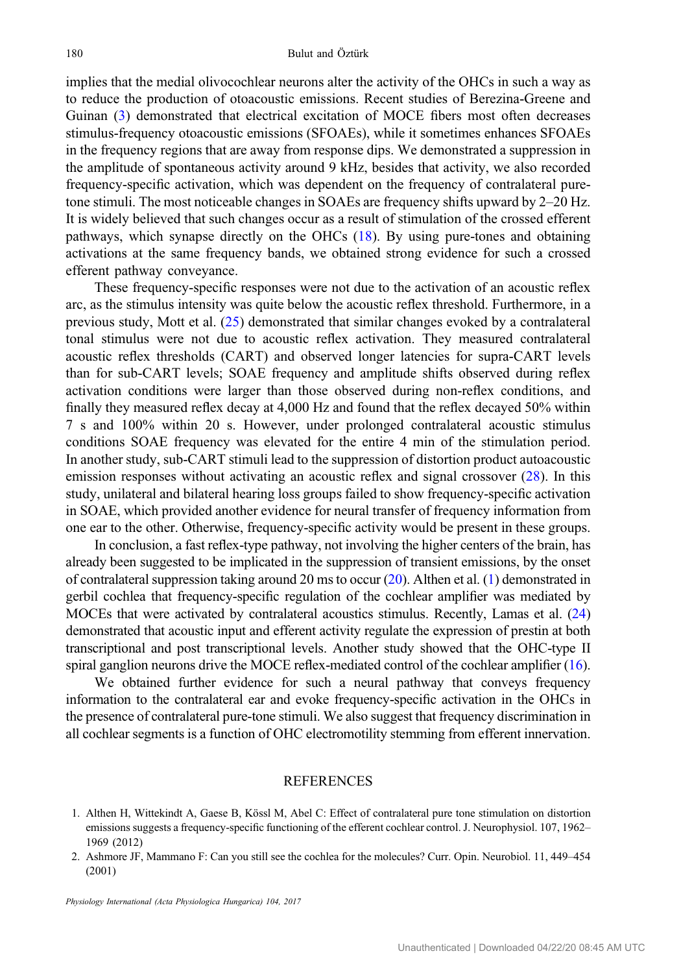<span id="page-9-0"></span>implies that the medial olivocochlear neurons alter the activity of the OHCs in such a way as to reduce the production of otoacoustic emissions. Recent studies of Berezina-Greene and Guinan ([3\)](#page-10-0) demonstrated that electrical excitation of MOCE fibers most often decreases stimulus-frequency otoacoustic emissions (SFOAEs), while it sometimes enhances SFOAEs in the frequency regions that are away from response dips. We demonstrated a suppression in the amplitude of spontaneous activity around 9 kHz, besides that activity, we also recorded frequency-specific activation, which was dependent on the frequency of contralateral puretone stimuli. The most noticeable changes in SOAEs are frequency shifts upward by 2–20 Hz. It is widely believed that such changes occur as a result of stimulation of the crossed efferent pathways, which synapse directly on the OHCs [\(18](#page-10-0)). By using pure-tones and obtaining activations at the same frequency bands, we obtained strong evidence for such a crossed efferent pathway conveyance.

These frequency-specific responses were not due to the activation of an acoustic reflex arc, as the stimulus intensity was quite below the acoustic reflex threshold. Furthermore, in a previous study, Mott et al. [\(25](#page-10-0)) demonstrated that similar changes evoked by a contralateral tonal stimulus were not due to acoustic reflex activation. They measured contralateral acoustic reflex thresholds (CART) and observed longer latencies for supra-CART levels than for sub-CART levels; SOAE frequency and amplitude shifts observed during reflex activation conditions were larger than those observed during non-reflex conditions, and finally they measured reflex decay at 4,000 Hz and found that the reflex decayed 50% within 7 s and 100% within 20 s. However, under prolonged contralateral acoustic stimulus conditions SOAE frequency was elevated for the entire 4 min of the stimulation period. In another study, sub-CART stimuli lead to the suppression of distortion product autoacoustic emission responses without activating an acoustic reflex and signal crossover ([28\)](#page-10-0). In this study, unilateral and bilateral hearing loss groups failed to show frequency-specific activation in SOAE, which provided another evidence for neural transfer of frequency information from one ear to the other. Otherwise, frequency-specific activity would be present in these groups.

In conclusion, a fast reflex-type pathway, not involving the higher centers of the brain, has already been suggested to be implicated in the suppression of transient emissions, by the onset of contralateral suppression taking around 20 ms to occur [\(20](#page-10-0)). Althen et al. (1) demonstrated in gerbil cochlea that frequency-specific regulation of the cochlear amplifier was mediated by MOCEs that were activated by contralateral acoustics stimulus. Recently, Lamas et al. [\(24\)](#page-10-0) demonstrated that acoustic input and efferent activity regulate the expression of prestin at both transcriptional and post transcriptional levels. Another study showed that the OHC-type II spiral ganglion neurons drive the MOCE reflex-mediated control of the cochlear amplifier ([16](#page-10-0)).

We obtained further evidence for such a neural pathway that conveys frequency information to the contralateral ear and evoke frequency-specific activation in the OHCs in the presence of contralateral pure-tone stimuli. We also suggest that frequency discrimination in all cochlear segments is a function of OHC electromotility stemming from efferent innervation.

#### **REFERENCES**

- 1. Althen H, Wittekindt A, Gaese B, Kössl M, Abel C: Effect of contralateral pure tone stimulation on distortion emissions suggests a frequency-specific functioning of the efferent cochlear control. J. Neurophysiol. 107, 1962– 1969 (2012)
- 2. Ashmore JF, Mammano F: Can you still see the cochlea for the molecules? Curr. Opin. Neurobiol. 11, 449–454 (2001)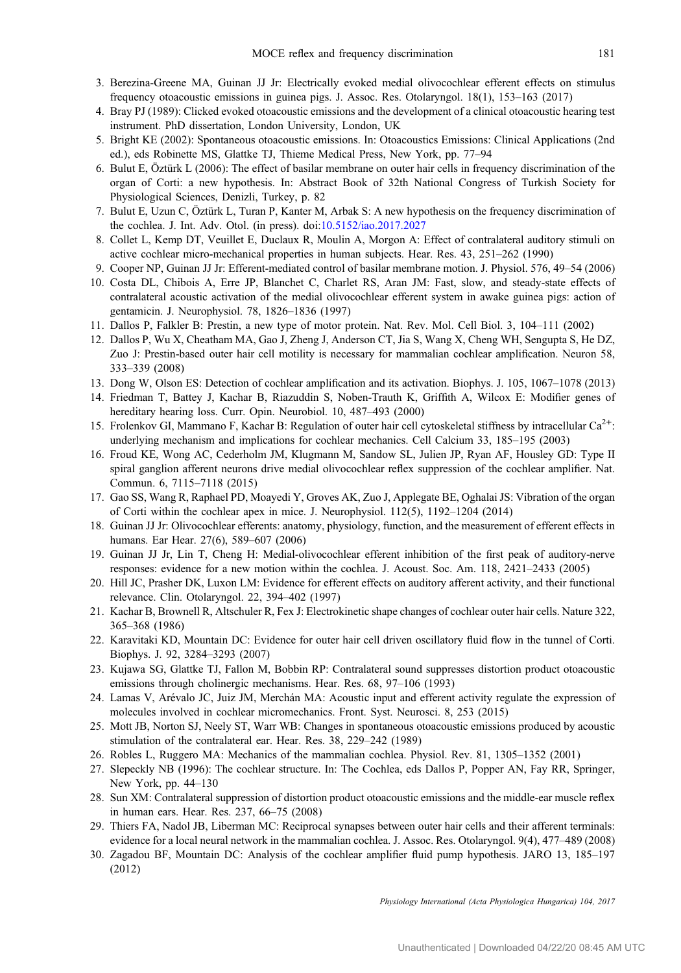- <span id="page-10-0"></span>3. Berezina-Greene MA, Guinan JJ Jr: Electrically evoked medial olivocochlear efferent effects on stimulus frequency otoacoustic emissions in guinea pigs. J. Assoc. Res. Otolaryngol. 18(1), 153–163 (2017)
- 4. Bray PJ (1989): Clicked evoked otoacoustic emissions and the development of a clinical otoacoustic hearing test instrument. PhD dissertation, London University, London, UK
- 5. Bright KE (2002): Spontaneous otoacoustic emissions. In: Otoacoustics Emissions: Clinical Applications (2nd ed.), eds Robinette MS, Glattke TJ, Thieme Medical Press, New York, pp. 77–94
- 6. Bulut E, Öztürk L (2006): The effect of basilar membrane on outer hair cells in frequency discrimination of the organ of Corti: a new hypothesis. In: Abstract Book of 32th National Congress of Turkish Society for Physiological Sciences, Denizli, Turkey, p. 82
- 7. Bulut E, Uzun C, Öztürk L, Turan P, Kanter M, Arbak S: A new hypothesis on the frequency discrimination of the cochlea. J. Int. Adv. Otol. (in press). doi[:10.5152/iao.2017.2027](http://dx.doi.org/10.5152/iao.2017.2027)
- 8. Collet L, Kemp DT, Veuillet E, Duclaux R, Moulin A, Morgon A: Effect of contralateral auditory stimuli on active cochlear micro-mechanical properties in human subjects. Hear. Res. 43, 251–262 (1990)
- 9. Cooper NP, Guinan JJ Jr: Efferent-mediated control of basilar membrane motion. J. Physiol. 576, 49–54 (2006)
- 10. Costa DL, Chibois A, Erre JP, Blanchet C, Charlet RS, Aran JM: Fast, slow, and steady-state effects of contralateral acoustic activation of the medial olivocochlear efferent system in awake guinea pigs: action of gentamicin. J. Neurophysiol. 78, 1826–1836 (1997)
- 11. Dallos P, Falkler B: Prestin, a new type of motor protein. Nat. Rev. Mol. Cell Biol. 3, 104–111 (2002)
- 12. Dallos P, Wu X, Cheatham MA, Gao J, Zheng J, Anderson CT, Jia S, Wang X, Cheng WH, Sengupta S, He DZ, Zuo J: Prestin-based outer hair cell motility is necessary for mammalian cochlear amplification. Neuron 58, 333–339 (2008)
- 13. Dong W, Olson ES: Detection of cochlear amplification and its activation. Biophys. J. 105, 1067–1078 (2013)
- 14. Friedman T, Battey J, Kachar B, Riazuddin S, Noben-Trauth K, Griffith A, Wilcox E: Modifier genes of hereditary hearing loss. Curr. Opin. Neurobiol. 10, 487–493 (2000)
- 15. Frolenkov GI, Mammano F, Kachar B: Regulation of outer hair cell cytoskeletal stiffness by intracellular Ca<sup>2+</sup>: underlying mechanism and implications for cochlear mechanics. Cell Calcium 33, 185–195 (2003)
- 16. Froud KE, Wong AC, Cederholm JM, Klugmann M, Sandow SL, Julien JP, Ryan AF, Housley GD: Type II spiral ganglion afferent neurons drive medial olivocochlear reflex suppression of the cochlear amplifier. Nat. Commun. 6, 7115–7118 (2015)
- 17. Gao SS, Wang R, Raphael PD, Moayedi Y, Groves AK, Zuo J, Applegate BE, Oghalai JS: Vibration of the organ of Corti within the cochlear apex in mice. J. Neurophysiol. 112(5), 1192–1204 (2014)
- 18. Guinan JJ Jr: Olivocochlear efferents: anatomy, physiology, function, and the measurement of efferent effects in humans. Ear Hear. 27(6), 589–607 (2006)
- 19. Guinan JJ Jr, Lin T, Cheng H: Medial-olivocochlear efferent inhibition of the first peak of auditory-nerve responses: evidence for a new motion within the cochlea. J. Acoust. Soc. Am. 118, 2421–2433 (2005)
- 20. Hill JC, Prasher DK, Luxon LM: Evidence for efferent effects on auditory afferent activity, and their functional relevance. Clin. Otolaryngol. 22, 394–402 (1997)
- 21. Kachar B, Brownell R, Altschuler R, Fex J: Electrokinetic shape changes of cochlear outer hair cells. Nature 322, 365–368 (1986)
- 22. Karavitaki KD, Mountain DC: Evidence for outer hair cell driven oscillatory fluid flow in the tunnel of Corti. Biophys. J. 92, 3284–3293 (2007)
- 23. Kujawa SG, Glattke TJ, Fallon M, Bobbin RP: Contralateral sound suppresses distortion product otoacoustic emissions through cholinergic mechanisms. Hear. Res. 68, 97–106 (1993)
- 24. Lamas V, Arévalo JC, Juiz JM, Merchán MA: Acoustic input and efferent activity regulate the expression of molecules involved in cochlear micromechanics. Front. Syst. Neurosci. 8, 253 (2015)
- 25. Mott JB, Norton SJ, Neely ST, Warr WB: Changes in spontaneous otoacoustic emissions produced by acoustic stimulation of the contralateral ear. Hear. Res. 38, 229–242 (1989)
- 26. Robles L, Ruggero MA: Mechanics of the mammalian cochlea. Physiol. Rev. 81, 1305–1352 (2001)
- 27. Slepeckly NB (1996): The cochlear structure. In: The Cochlea, eds Dallos P, Popper AN, Fay RR, Springer, New York, pp. 44–130
- 28. Sun XM: Contralateral suppression of distortion product otoacoustic emissions and the middle-ear muscle reflex in human ears. Hear. Res. 237, 66–75 (2008)
- 29. Thiers FA, Nadol JB, Liberman MC: Reciprocal synapses between outer hair cells and their afferent terminals: evidence for a local neural network in the mammalian cochlea. J. Assoc. Res. Otolaryngol. 9(4), 477–489 (2008)
- 30. Zagadou BF, Mountain DC: Analysis of the cochlear amplifier fluid pump hypothesis. JARO 13, 185–197 (2012)

Physiology International (Acta Physiologica Hungarica) 104, 2017